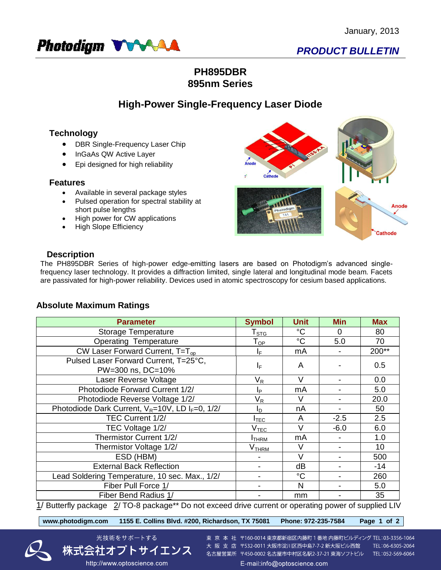

# *PRODUCT BULLETIN*

## **PH895DBR 895nm Series**

## **High-Power Single-Frequency Laser Diode**

## **Technology**

- DBR Single-Frequency Laser Chip
- InGaAs QW Active Layer
- Epi designed for high reliability

#### **Features**

Available in several package styles

光技術をサポートする

http://www.optoscience.com

- Pulsed operation for spectral stability at short pulse lengths
- High power for CW applications
- High Slope Efficiency



### **Description**

The PH895DBR Series of high-power edge-emitting lasers are based on Photodigm's advanced singlefrequency laser technology. It provides a diffraction limited, single lateral and longitudinal mode beam. Facets are passivated for high-power reliability. Devices used in atomic spectroscopy for cesium based applications.

### **Absolute Maximum Ratings**

| <b>Parameter</b>                                                                                                     | <b>Symbol</b>              | <b>Unit</b>     | <b>Min</b> | <b>Max</b> |  |  |  |
|----------------------------------------------------------------------------------------------------------------------|----------------------------|-----------------|------------|------------|--|--|--|
| Storage Temperature                                                                                                  | ${\sf T}_{\text{STG}}$     | $^{\circ}C$     | $\Omega$   | 80         |  |  |  |
| <b>Operating Temperature</b>                                                                                         | $\mathsf{T}_{\mathsf{OP}}$ | $\rm ^{\circ}C$ | 5.0        | 70         |  |  |  |
| CW Laser Forward Current, $T=T_{op}$                                                                                 | IF.                        | mA              |            | 200**      |  |  |  |
| Pulsed Laser Forward Current, T=25°C,                                                                                | ΙF                         | A               |            | 0.5        |  |  |  |
| PW=300 ns, DC=10%                                                                                                    |                            |                 |            |            |  |  |  |
| Laser Reverse Voltage                                                                                                | $\mathsf{V}_\mathsf{R}$    | $\vee$          |            | 0.0        |  |  |  |
| Photodiode Forward Current 1/2/                                                                                      | Iр                         | mA              |            | 5.0        |  |  |  |
| Photodiode Reverse Voltage 1/2/                                                                                      | $\mathsf{V}_\mathsf{R}$    | V               |            | 20.0       |  |  |  |
| Photodiode Dark Current, V <sub>R</sub> =10V, LD I <sub>F</sub> =0, 1/2/                                             | I <sub>D</sub>             | nA              |            | 50         |  |  |  |
| TEC Current 1/2/                                                                                                     | $I_{TEC}$                  | A               | $-2.5$     | 2.5        |  |  |  |
| TEC Voltage 1/2/                                                                                                     | $V_{\text{TEC}}$           | $\vee$          | $-6.0$     | 6.0        |  |  |  |
| Thermistor Current 1/2/                                                                                              | <b>I</b> THRM              | mA              |            | 1.0        |  |  |  |
| Thermistor Voltage 1/2/                                                                                              | V <sub>тнкм</sub>          | V               |            | 10         |  |  |  |
| ESD (HBM)                                                                                                            |                            | V               |            | 500        |  |  |  |
| <b>External Back Reflection</b>                                                                                      |                            | dB              |            | $-14$      |  |  |  |
| Lead Soldering Temperature, 10 sec. Max., 1/2/                                                                       |                            | $^{\circ}C$     |            | 260        |  |  |  |
| Fiber Pull Force 1/                                                                                                  |                            | N               |            | 5.0        |  |  |  |
| Fiber Bend Radius 1/                                                                                                 |                            | mm              |            | 35         |  |  |  |
| $1/D$ utterfly noglaso $2/TQ$ 8 noglaso $*$ De not exceed drive ourrant or eperating power of symplical $\mathbb{R}$ |                            |                 |            |            |  |  |  |

<u>1</u>/ Butterfly package  $2$ / TO-8 package\*\* Do not exceed drive current or operating power of supplied LIV

**www.photodigm.com 1155 E. Collins Blvd. #200, Richardson, TX 75081 Phone: 972-235-7584 Page 1 of 2** 





TEL:06-6305-2064